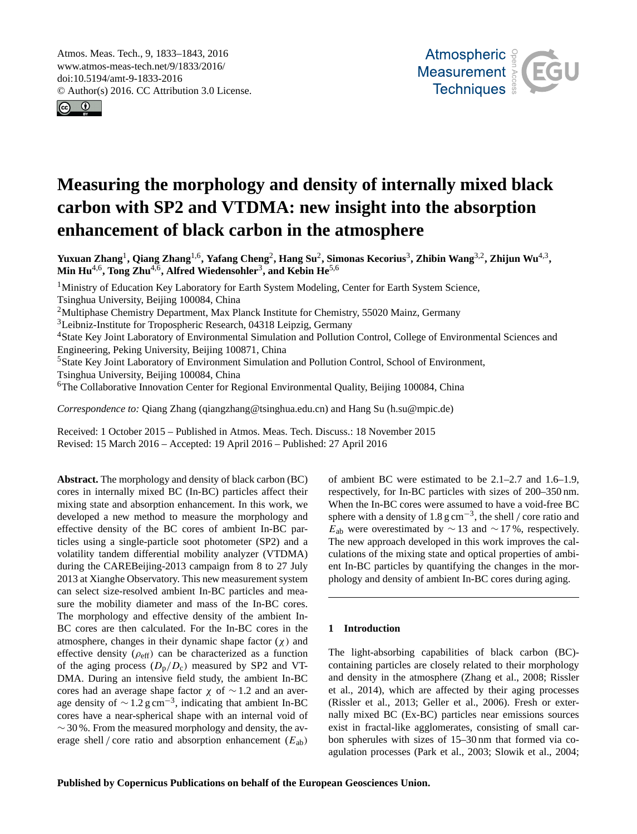<span id="page-0-1"></span>Atmos. Meas. Tech., 9, 1833–1843, 2016 www.atmos-meas-tech.net/9/1833/2016/ doi:10.5194/amt-9-1833-2016 © Author(s) 2016. CC Attribution 3.0 License.





# **Measuring the morphology and density of internally mixed black carbon with SP2 and VTDMA: new insight into the absorption enhancement of black carbon in the atmosphere**

**Yuxuan Zhang**[1](#page-0-0) **, Qiang Zhang**[1,6](#page-0-0) **, Yafang Cheng**[2](#page-0-0) **, Hang Su**[2](#page-0-0) **, Simonas Kecorius**[3](#page-0-0) **, Zhibin Wang**[3,2](#page-0-0) **, Zhijun Wu**[4,3](#page-0-0) **, Min Hu**[4,6](#page-0-0) **, Tong Zhu**[4,6](#page-0-0) **, Alfred Wiedensohler**[3](#page-0-0) **, and Kebin He**[5,6](#page-0-0)

<sup>1</sup>Ministry of Education Key Laboratory for Earth System Modeling, Center for Earth System Science, Tsinghua University, Beijing 100084, China <sup>2</sup>Multiphase Chemistry Department, Max Planck Institute for Chemistry, 55020 Mainz, Germany <sup>3</sup>Leibniz-Institute for Tropospheric Research, 04318 Leipzig, Germany <sup>4</sup>State Key Joint Laboratory of Environmental Simulation and Pollution Control, College of Environmental Sciences and Engineering, Peking University, Beijing 100871, China <sup>5</sup>State Key Joint Laboratory of Environment Simulation and Pollution Control, School of Environment, Tsinghua University, Beijing 100084, China <sup>6</sup>The Collaborative Innovation Center for Regional Environmental Quality, Beijing 100084, China

*Correspondence to:* Qiang Zhang (qiangzhang@tsinghua.edu.cn) and Hang Su (h.su@mpic.de)

Received: 1 October 2015 – Published in Atmos. Meas. Tech. Discuss.: 18 November 2015 Revised: 15 March 2016 – Accepted: 19 April 2016 – Published: 27 April 2016

<span id="page-0-0"></span>**Abstract.** The morphology and density of black carbon (BC) cores in internally mixed BC (In-BC) particles affect their mixing state and absorption enhancement. In this work, we developed a new method to measure the morphology and effective density of the BC cores of ambient In-BC particles using a single-particle soot photometer (SP2) and a volatility tandem differential mobility analyzer (VTDMA) during the CAREBeijing-2013 campaign from 8 to 27 July 2013 at Xianghe Observatory. This new measurement system can select size-resolved ambient In-BC particles and measure the mobility diameter and mass of the In-BC cores. The morphology and effective density of the ambient In-BC cores are then calculated. For the In-BC cores in the atmosphere, changes in their dynamic shape factor  $(\chi)$  and effective density  $(\rho_{\text{eff}})$  can be characterized as a function of the aging process  $(D_p/D_c)$  measured by SP2 and VT-DMA. During an intensive field study, the ambient In-BC cores had an average shape factor  $\chi$  of ~1.2 and an average density of  $\sim 1.2$  g cm<sup>-3</sup>, indicating that ambient In-BC cores have a near-spherical shape with an internal void of  $\sim$  30 %. From the measured morphology and density, the average shell / core ratio and absorption enhancement  $(E_{ab})$ 

of ambient BC were estimated to be 2.1–2.7 and 1.6–1.9, respectively, for In-BC particles with sizes of 200–350 nm. When the In-BC cores were assumed to have a void-free BC sphere with a density of 1.8  $\text{g cm}^{-3}$ , the shell / core ratio and  $E_{ab}$  were overestimated by  $\sim$  13 and  $\sim$  17%, respectively. The new approach developed in this work improves the calculations of the mixing state and optical properties of ambient In-BC particles by quantifying the changes in the morphology and density of ambient In-BC cores during aging.

# **1 Introduction**

The light-absorbing capabilities of black carbon (BC) containing particles are closely related to their morphology and density in the atmosphere (Zhang et al., 2008; Rissler et al., 2014), which are affected by their aging processes (Rissler et al., 2013; Geller et al., 2006). Fresh or externally mixed BC (Ex-BC) particles near emissions sources exist in fractal-like agglomerates, consisting of small carbon spherules with sizes of 15–30 nm that formed via coagulation processes (Park et al., 2003; Slowik et al., 2004;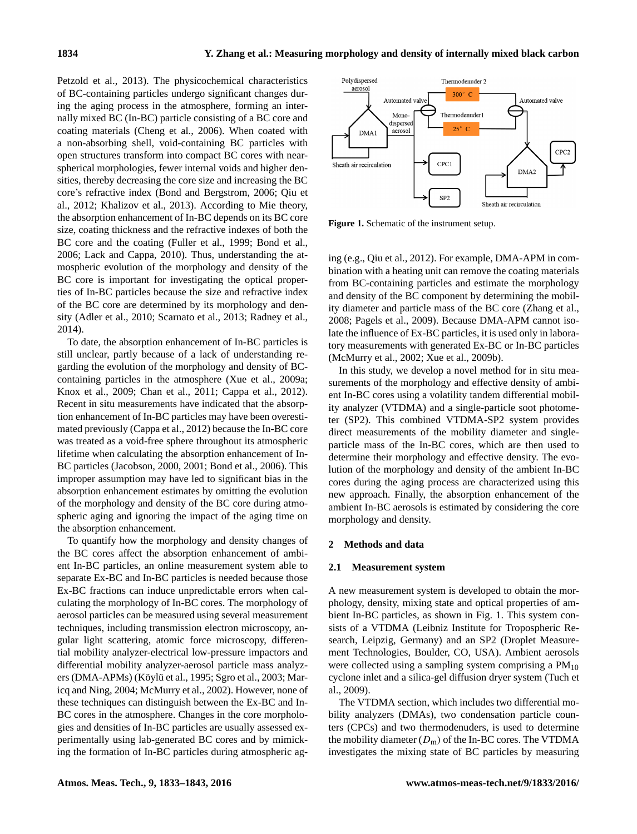Petzold et al., 2013). The physicochemical characteristics of BC-containing particles undergo significant changes during the aging process in the atmosphere, forming an internally mixed BC (In-BC) particle consisting of a BC core and coating materials (Cheng et al., 2006). When coated with a non-absorbing shell, void-containing BC particles with open structures transform into compact BC cores with nearspherical morphologies, fewer internal voids and higher densities, thereby decreasing the core size and increasing the BC core's refractive index (Bond and Bergstrom, 2006; Qiu et al., 2012; Khalizov et al., 2013). According to Mie theory, the absorption enhancement of In-BC depends on its BC core size, coating thickness and the refractive indexes of both the BC core and the coating (Fuller et al., 1999; Bond et al., 2006; Lack and Cappa, 2010). Thus, understanding the atmospheric evolution of the morphology and density of the BC core is important for investigating the optical properties of In-BC particles because the size and refractive index of the BC core are determined by its morphology and density (Adler et al., 2010; Scarnato et al., 2013; Radney et al., 2014).

To date, the absorption enhancement of In-BC particles is still unclear, partly because of a lack of understanding regarding the evolution of the morphology and density of BCcontaining particles in the atmosphere (Xue et al., 2009a; Knox et al., 2009; Chan et al., 2011; Cappa et al., 2012). Recent in situ measurements have indicated that the absorption enhancement of In-BC particles may have been overestimated previously (Cappa et al., 2012) because the In-BC core was treated as a void-free sphere throughout its atmospheric lifetime when calculating the absorption enhancement of In-BC particles (Jacobson, 2000, 2001; Bond et al., 2006). This improper assumption may have led to significant bias in the absorption enhancement estimates by omitting the evolution of the morphology and density of the BC core during atmospheric aging and ignoring the impact of the aging time on the absorption enhancement.

To quantify how the morphology and density changes of the BC cores affect the absorption enhancement of ambient In-BC particles, an online measurement system able to separate Ex-BC and In-BC particles is needed because those Ex-BC fractions can induce unpredictable errors when calculating the morphology of In-BC cores. The morphology of aerosol particles can be measured using several measurement techniques, including transmission electron microscopy, angular light scattering, atomic force microscopy, differential mobility analyzer-electrical low-pressure impactors and differential mobility analyzer-aerosol particle mass analyzers (DMA-APMs) (Köylü et al., 1995; Sgro et al., 2003; Maricq and Ning, 2004; McMurry et al., 2002). However, none of these techniques can distinguish between the Ex-BC and In-BC cores in the atmosphere. Changes in the core morphologies and densities of In-BC particles are usually assessed experimentally using lab-generated BC cores and by mimicking the formation of In-BC particles during atmospheric ag-



**Figure 1.** Schematic of the instrument setup.

ing (e.g., Qiu et al., 2012). For example, DMA-APM in combination with a heating unit can remove the coating materials from BC-containing particles and estimate the morphology and density of the BC component by determining the mobility diameter and particle mass of the BC core (Zhang et al., 2008; Pagels et al., 2009). Because DMA-APM cannot isolate the influence of Ex-BC particles, it is used only in laboratory measurements with generated Ex-BC or In-BC particles (McMurry et al., 2002; Xue et al., 2009b).

In this study, we develop a novel method for in situ measurements of the morphology and effective density of ambient In-BC cores using a volatility tandem differential mobility analyzer (VTDMA) and a single-particle soot photometer (SP2). This combined VTDMA-SP2 system provides direct measurements of the mobility diameter and singleparticle mass of the In-BC cores, which are then used to determine their morphology and effective density. The evolution of the morphology and density of the ambient In-BC cores during the aging process are characterized using this new approach. Finally, the absorption enhancement of the ambient In-BC aerosols is estimated by considering the core morphology and density.

## **2 Methods and data**

#### **2.1 Measurement system**

A new measurement system is developed to obtain the morphology, density, mixing state and optical properties of ambient In-BC particles, as shown in Fig. 1. This system consists of a VTDMA (Leibniz Institute for Tropospheric Research, Leipzig, Germany) and an SP2 (Droplet Measurement Technologies, Boulder, CO, USA). Ambient aerosols were collected using a sampling system comprising a  $PM_{10}$ cyclone inlet and a silica-gel diffusion dryer system (Tuch et al., 2009).

The VTDMA section, which includes two differential mobility analyzers (DMAs), two condensation particle counters (CPCs) and two thermodenuders, is used to determine the mobility diameter  $(D_m)$  of the In-BC cores. The VTDMA investigates the mixing state of BC particles by measuring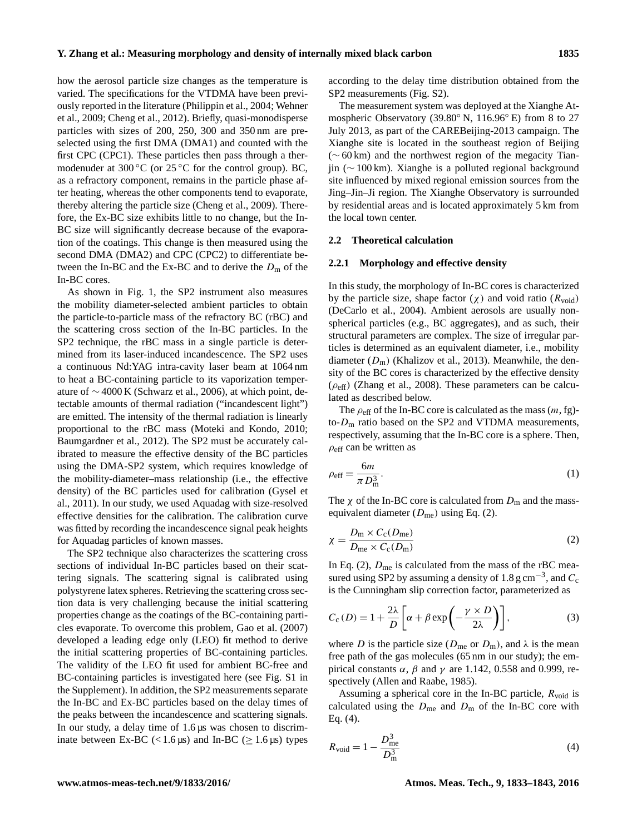how the aerosol particle size changes as the temperature is varied. The specifications for the VTDMA have been previously reported in the literature (Philippin et al., 2004; Wehner et al., 2009; Cheng et al., 2012). Briefly, quasi-monodisperse particles with sizes of 200, 250, 300 and 350 nm are preselected using the first DMA (DMA1) and counted with the first CPC (CPC1). These particles then pass through a thermodenuder at 300 ◦C (or 25 ◦C for the control group). BC, as a refractory component, remains in the particle phase after heating, whereas the other components tend to evaporate, thereby altering the particle size (Cheng et al., 2009). Therefore, the Ex-BC size exhibits little to no change, but the In-BC size will significantly decrease because of the evaporation of the coatings. This change is then measured using the second DMA (DMA2) and CPC (CPC2) to differentiate between the In-BC and the Ex-BC and to derive the  $D<sub>m</sub>$  of the In-BC cores.

As shown in Fig. 1, the SP2 instrument also measures the mobility diameter-selected ambient particles to obtain the particle-to-particle mass of the refractory BC (rBC) and the scattering cross section of the In-BC particles. In the SP2 technique, the rBC mass in a single particle is determined from its laser-induced incandescence. The SP2 uses a continuous Nd:YAG intra-cavity laser beam at 1064 nm to heat a BC-containing particle to its vaporization temperature of  $\sim$  4000 K (Schwarz et al., 2006), at which point, detectable amounts of thermal radiation ("incandescent light") are emitted. The intensity of the thermal radiation is linearly proportional to the rBC mass (Moteki and Kondo, 2010; Baumgardner et al., 2012). The SP2 must be accurately calibrated to measure the effective density of the BC particles using the DMA-SP2 system, which requires knowledge of the mobility-diameter–mass relationship (i.e., the effective density) of the BC particles used for calibration (Gysel et al., 2011). In our study, we used Aquadag with size-resolved effective densities for the calibration. The calibration curve was fitted by recording the incandescence signal peak heights for Aquadag particles of known masses.

The SP2 technique also characterizes the scattering cross sections of individual In-BC particles based on their scattering signals. The scattering signal is calibrated using polystyrene latex spheres. Retrieving the scattering cross section data is very challenging because the initial scattering properties change as the coatings of the BC-containing particles evaporate. To overcome this problem, Gao et al. (2007) developed a leading edge only (LEO) fit method to derive the initial scattering properties of BC-containing particles. The validity of the LEO fit used for ambient BC-free and BC-containing particles is investigated here (see Fig. S1 in the Supplement). In addition, the SP2 measurements separate the In-BC and Ex-BC particles based on the delay times of the peaks between the incandescence and scattering signals. In our study, a delay time of  $1.6 \mu s$  was chosen to discriminate between Ex-BC (<1.6  $\mu$ s) and In-BC ( $\geq$ 1.6  $\mu$ s) types

according to the delay time distribution obtained from the SP2 measurements (Fig. S2).

The measurement system was deployed at the Xianghe Atmospheric Observatory (39.80◦ N, 116.96◦ E) from 8 to 27 July 2013, as part of the CAREBeijing-2013 campaign. The Xianghe site is located in the southeast region of Beijing (∼ 60 km) and the northwest region of the megacity Tianjin (∼ 100 km). Xianghe is a polluted regional background site influenced by mixed regional emission sources from the Jing–Jin–Ji region. The Xianghe Observatory is surrounded by residential areas and is located approximately 5 km from the local town center.

## **2.2 Theoretical calculation**

#### **2.2.1 Morphology and effective density**

In this study, the morphology of In-BC cores is characterized by the particle size, shape factor ( $\chi$ ) and void ratio ( $R_{\text{void}}$ ) (DeCarlo et al., 2004). Ambient aerosols are usually nonspherical particles (e.g., BC aggregates), and as such, their structural parameters are complex. The size of irregular particles is determined as an equivalent diameter, i.e., mobility diameter  $(D_m)$  (Khalizov et al., 2013). Meanwhile, the density of the BC cores is characterized by the effective density  $(\rho_{\text{eff}})$  (Zhang et al., 2008). These parameters can be calculated as described below.

The  $\rho_{\text{eff}}$  of the In-BC core is calculated as the mass  $(m, fg)$ to- $D<sub>m</sub>$  ratio based on the SP2 and VTDMA measurements, respectively, assuming that the In-BC core is a sphere. Then,  $\rho_{\text{eff}}$  can be written as

<span id="page-2-2"></span>
$$
\rho_{\rm eff} = \frac{6m}{\pi D_{\rm m}^3}.\tag{1}
$$

<span id="page-2-0"></span>The  $\chi$  of the In-BC core is calculated from  $D_m$  and the massequivalent diameter  $(D_{me})$  using Eq. [\(2\)](#page-2-0).

$$
\chi = \frac{D_{\rm m} \times C_{\rm c}(D_{\rm me})}{D_{\rm me} \times C_{\rm c}(D_{\rm m})}
$$
(2)

In Eq. [\(2\)](#page-2-0),  $D_{\text{me}}$  is calculated from the mass of the rBC measured using SP2 by assuming a density of 1.8 g cm<sup>-3</sup>, and  $C_c$ is the Cunningham slip correction factor, parameterized as

$$
C_{\rm c}(D) = 1 + \frac{2\lambda}{D} \left[ \alpha + \beta \exp\left( -\frac{\gamma \times D}{2\lambda} \right) \right],
$$
 (3)

where D is the particle size ( $D_{\text{me}}$  or  $D_{\text{m}}$ ), and  $\lambda$  is the mean free path of the gas molecules (65 nm in our study); the empirical constants  $\alpha$ ,  $\beta$  and  $\gamma$  are 1.142, 0.558 and 0.999, respectively (Allen and Raabe, 1985).

<span id="page-2-1"></span>Assuming a spherical core in the In-BC particle,  $R_{\text{void}}$  is calculated using the  $D_{\text{me}}$  and  $D_{\text{m}}$  of the In-BC core with Eq. [\(4\)](#page-2-1).

$$
R_{\text{void}} = 1 - \frac{D_{\text{me}}^3}{D_{\text{m}}^3} \tag{4}
$$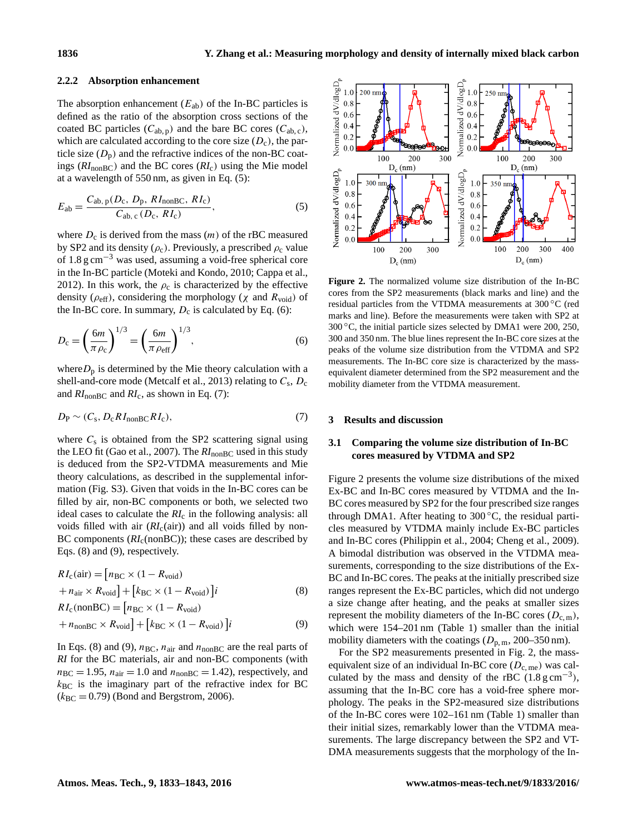### **2.2.2 Absorption enhancement**

The absorption enhancement  $(E_{ab})$  of the In-BC particles is defined as the ratio of the absorption cross sections of the coated BC particles  $(C_{ab,p})$  and the bare BC cores  $(C_{ab,c})$ , which are calculated according to the core size  $(D_c)$ , the particle size  $(D_p)$  and the refractive indices of the non-BC coatings  $(RI_{\text{nonBC}})$  and the BC cores  $(RI_{c})$  using the Mie model at a wavelength of 550 nm, as given in Eq. [\(5\)](#page-3-0):

$$
E_{ab} = \frac{C_{ab, p}(D_c, D_p, RI_{nonBC}, RI_c)}{C_{ab, c}(D_c, RI_c)},
$$
\n
$$
(5)
$$

where  $D_c$  is derived from the mass  $(m)$  of the rBC measured by SP2 and its density ( $\rho_c$ ). Previously, a prescribed  $\rho_c$  value of  $1.8 \text{ g cm}^{-3}$  was used, assuming a void-free spherical core in the In-BC particle (Moteki and Kondo, 2010; Cappa et al., 2012). In this work, the  $\rho_c$  is characterized by the effective density ( $\rho_{\text{eff}}$ ), considering the morphology ( $\chi$  and  $R_{\text{void}}$ ) of the In-BC core. In summary,  $D_c$  is calculated by Eq. [\(6\)](#page-3-1):

$$
D_{\rm c} = \left(\frac{6m}{\pi \rho_{\rm c}}\right)^{1/3} = \left(\frac{6m}{\pi \rho_{\rm eff}}\right)^{1/3},\tag{6}
$$

where  $D_p$  is determined by the Mie theory calculation with a shell-and-core mode (Metcalf et al., 2013) relating to  $C_s$ ,  $D_c$ and  $RI<sub>nonBC</sub>$  and  $RI<sub>c</sub>$ , as shown in Eq. [\(7\)](#page-3-2):

$$
D_{\rm P} \sim (C_{\rm s}, D_{\rm c} R I_{\rm nonBC} R I_{\rm c}),\tag{7}
$$

where  $C_s$  is obtained from the SP2 scattering signal using the LEO fit (Gao et al., 2007). The  $RI_{\text{nonBC}}$  used in this study is deduced from the SP2-VTDMA measurements and Mie theory calculations, as described in the supplemental information (Fig. S3). Given that voids in the In-BC cores can be filled by air, non-BC components or both, we selected two ideal cases to calculate the *RI*<sup>c</sup> in the following analysis: all voids filled with air  $(RI_c(air))$  and all voids filled by non-BC components (*RI*c(nonBC)); these cases are described by Eqs. (8) and (9), respectively.

$$
R I_{c} (air) = [n_{BC} \times (1 - R_{void})
$$
  
+  $n_{air} \times R_{void}] + [k_{BC} \times (1 - R_{void})]i$   

$$
R I_{c} (non BC) = [n_{BC} \times (1 - R_{void})]
$$
 (8)

$$
+ n_{\text{nonBC}} \times R_{\text{void}} \Big] + \Big[ k_{\text{BC}} \times (1 - R_{\text{void}}) \Big] i \tag{9}
$$

In Eqs. (8) and (9),  $n_{\text{BC}}$ ,  $n_{\text{air}}$  and  $n_{\text{nonBC}}$  are the real parts of *RI* for the BC materials, air and non-BC components (with  $n_{\text{BC}} = 1.95$ ,  $n_{\text{air}} = 1.0$  and  $n_{\text{nonBC}} = 1.42$ ), respectively, and  $k_{BC}$  is the imaginary part of the refractive index for BC  $(k_{BC} = 0.79)$  (Bond and Bergstrom, 2006).

<span id="page-3-0"></span>

<span id="page-3-1"></span>**Figure 2.** The normalized volume size distribution of the In-BC cores from the SP2 measurements (black marks and line) and the residual particles from the VTDMA measurements at 300 ◦C (red marks and line). Before the measurements were taken with SP2 at  $300\,^{\circ}$ C, the initial particle sizes selected by DMA1 were 200, 250, 300 and 350 nm. The blue lines represent the In-BC core sizes at the peaks of the volume size distribution from the VTDMA and SP2 measurements. The In-BC core size is characterized by the massequivalent diameter determined from the SP2 measurement and the mobility diameter from the VTDMA measurement.

# <span id="page-3-2"></span>**3 Results and discussion**

## **3.1 Comparing the volume size distribution of In-BC cores measured by VTDMA and SP2**

Figure 2 presents the volume size distributions of the mixed Ex-BC and In-BC cores measured by VTDMA and the In-BC cores measured by SP2 for the four prescribed size ranges through DMA1. After heating to  $300^{\circ}$ C, the residual particles measured by VTDMA mainly include Ex-BC particles and In-BC cores (Philippin et al., 2004; Cheng et al., 2009). A bimodal distribution was observed in the VTDMA measurements, corresponding to the size distributions of the Ex-BC and In-BC cores. The peaks at the initially prescribed size ranges represent the Ex-BC particles, which did not undergo a size change after heating, and the peaks at smaller sizes represent the mobility diameters of the In-BC cores  $(D_{c.m.})$ , which were  $154-201$  nm (Table 1) smaller than the initial mobility diameters with the coatings  $(D_{p,m}, 200-350 \text{ nm})$ .

For the SP2 measurements presented in Fig. 2, the massequivalent size of an individual In-BC core  $(D_{c, me})$  was calculated by the mass and density of the rBC  $(1.8 \text{ g cm}^{-3})$ , assuming that the In-BC core has a void-free sphere morphology. The peaks in the SP2-measured size distributions of the In-BC cores were 102–161 nm (Table 1) smaller than their initial sizes, remarkably lower than the VTDMA measurements. The large discrepancy between the SP2 and VT-DMA measurements suggests that the morphology of the In-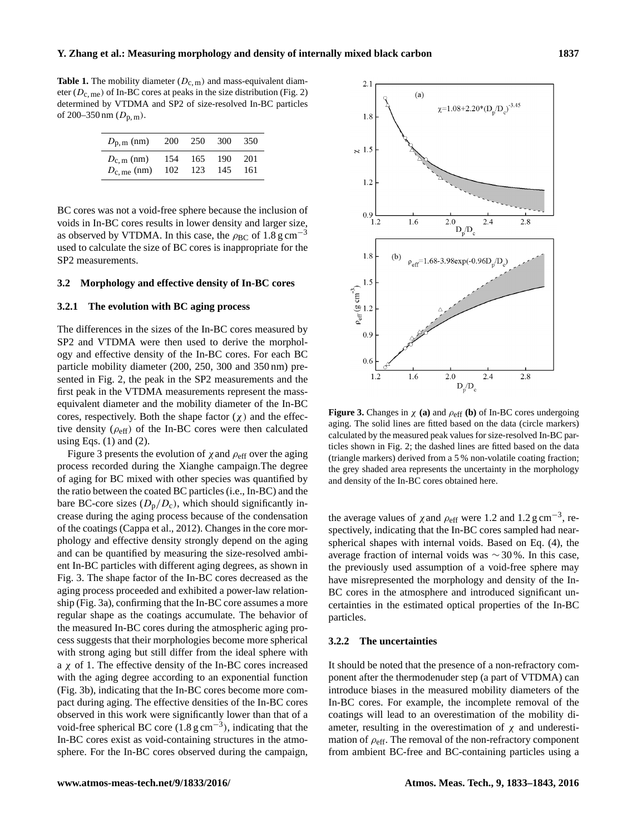**Table 1.** The mobility diameter  $(D_{c,m})$  and mass-equivalent diameter ( $D_{\rm c, me}$ ) of In-BC cores at peaks in the size distribution (Fig. 2) determined by VTDMA and SP2 of size-resolved In-BC particles of 200–350 nm  $(D_{p,m})$ .

| $D_{\rm p, m}$ (nm)  |     | 200 250 | 300  | 350  |
|----------------------|-----|---------|------|------|
| $D_{c,m}$ (nm)       | 154 | 165     | -190 | 201  |
| $D_{\rm c, me}$ (nm) |     | 102 123 | 145  | -161 |

BC cores was not a void-free sphere because the inclusion of voids in In-BC cores results in lower density and larger size, as observed by VTDMA. In this case, the  $\rho_{BC}$  of 1.8 g cm<sup>-3</sup> used to calculate the size of BC cores is inappropriate for the SP2 measurements.

### **3.2 Morphology and effective density of In-BC cores**

# **3.2.1 The evolution with BC aging process**

The differences in the sizes of the In-BC cores measured by SP2 and VTDMA were then used to derive the morphology and effective density of the In-BC cores. For each BC particle mobility diameter (200, 250, 300 and 350 nm) presented in Fig. 2, the peak in the SP2 measurements and the first peak in the VTDMA measurements represent the massequivalent diameter and the mobility diameter of the In-BC cores, respectively. Both the shape factor  $(\chi)$  and the effective density ( $\rho_{\text{eff}}$ ) of the In-BC cores were then calculated using Eqs.  $(1)$  and  $(2)$ .

Figure 3 presents the evolution of  $\chi$  and  $\rho_{\text{eff}}$  over the aging process recorded during the Xianghe campaign.The degree of aging for BC mixed with other species was quantified by the ratio between the coated BC particles (i.e., In-BC) and the bare BC-core sizes  $(D_p/D_c)$ , which should significantly increase during the aging process because of the condensation of the coatings (Cappa et al., 2012). Changes in the core morphology and effective density strongly depend on the aging and can be quantified by measuring the size-resolved ambient In-BC particles with different aging degrees, as shown in Fig. 3. The shape factor of the In-BC cores decreased as the aging process proceeded and exhibited a power-law relationship (Fig. 3a), confirming that the In-BC core assumes a more regular shape as the coatings accumulate. The behavior of the measured In-BC cores during the atmospheric aging process suggests that their morphologies become more spherical with strong aging but still differ from the ideal sphere with a  $\chi$  of 1. The effective density of the In-BC cores increased with the aging degree according to an exponential function (Fig. 3b), indicating that the In-BC cores become more compact during aging. The effective densities of the In-BC cores observed in this work were significantly lower than that of a void-free spherical BC core  $(1.8 \text{ g cm}^{-3})$ , indicating that the In-BC cores exist as void-containing structures in the atmosphere. For the In-BC cores observed during the campaign,



**Figure 3.** Changes in  $\chi$  (a) and  $\rho_{\text{eff}}$  (b) of In-BC cores undergoing aging. The solid lines are fitted based on the data (circle markers) calculated by the measured peak values for size-resolved In-BC particles shown in Fig. 2; the dashed lines are fitted based on the data (triangle markers) derived from a 5 % non-volatile coating fraction; the grey shaded area represents the uncertainty in the morphology and density of the In-BC cores obtained here.

the average values of  $\chi$  and  $\rho_{\text{eff}}$  were 1.2 and 1.2 g cm<sup>-3</sup>, respectively, indicating that the In-BC cores sampled had nearspherical shapes with internal voids. Based on Eq. [\(4\)](#page-2-1), the average fraction of internal voids was ∼ 30 %. In this case, the previously used assumption of a void-free sphere may have misrepresented the morphology and density of the In-BC cores in the atmosphere and introduced significant uncertainties in the estimated optical properties of the In-BC particles.

#### **3.2.2 The uncertainties**

It should be noted that the presence of a non-refractory component after the thermodenuder step (a part of VTDMA) can introduce biases in the measured mobility diameters of the In-BC cores. For example, the incomplete removal of the coatings will lead to an overestimation of the mobility diameter, resulting in the overestimation of  $\chi$  and underestimation of  $\rho_{\text{eff}}$ . The removal of the non-refractory component from ambient BC-free and BC-containing particles using a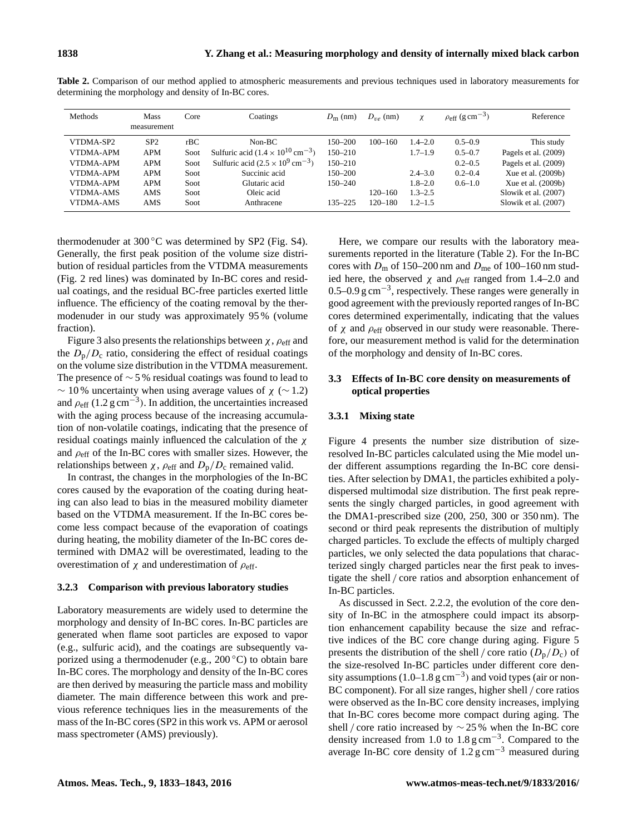| <b>Methods</b>   | <b>Mass</b><br>measurement | Core | Coatings                                             | $D_{\rm m}$ (nm) | $D_{\nu\rho}$ (nm) | χ           | $\rho_{\rm eff}$ (g cm <sup>-3</sup> ) | Reference            |
|------------------|----------------------------|------|------------------------------------------------------|------------------|--------------------|-------------|----------------------------------------|----------------------|
| VTDMA-SP2        | SP <sub>2</sub>            | rBC  | $Non-BC$                                             | 150-200          | $100 - 160$        | $1.4 - 2.0$ | $0.5 - 0.9$                            | This study           |
| VTDMA-APM        | APM                        | Soot | Sulfuric acid $(1.4 \times 10^{10} \text{ cm}^{-3})$ | $150 - 210$      |                    | $1.7 - 1.9$ | $0.5 - 0.7$                            | Pagels et al. (2009) |
| VTDMA-APM        | <b>APM</b>                 | Soot | Sulfuric acid $(2.5 \times 10^9 \text{ cm}^{-3})$    | $150 - 210$      |                    |             | $0.2 - 0.5$                            | Pagels et al. (2009) |
| VTDMA-APM        | <b>APM</b>                 | Soot | Succinic acid                                        | 150-200          |                    | $2.4 - 3.0$ | $0.2 - 0.4$                            | Xue et al. (2009b)   |
| VTDMA-APM        | <b>APM</b>                 | Soot | Glutaric acid                                        | $150 - 240$      |                    | $1.8 - 2.0$ | $0.6 - 1.0$                            | Xue et al. (2009b)   |
| <b>VTDMA-AMS</b> | AMS                        | Soot | Oleic acid                                           |                  | $120 - 160$        | $1.3 - 2.5$ |                                        | Slowik et al. (2007) |
| VTDMA-AMS        | AMS                        | Soot | Anthracene                                           | $135 - 225$      | 120-180            | $1.2 - 1.5$ |                                        | Slowik et al. (2007) |

**Table 2.** Comparison of our method applied to atmospheric measurements and previous techniques used in laboratory measurements for determining the morphology and density of In-BC cores.

thermodenuder at  $300^{\circ}$ C was determined by SP2 (Fig. S4). Generally, the first peak position of the volume size distribution of residual particles from the VTDMA measurements (Fig. 2 red lines) was dominated by In-BC cores and residual coatings, and the residual BC-free particles exerted little influence. The efficiency of the coating removal by the thermodenuder in our study was approximately 95 % (volume fraction).

Figure 3 also presents the relationships between  $\chi$ ,  $\rho_{\text{eff}}$  and the  $D_{\rm p}/D_{\rm c}$  ratio, considering the effect of residual coatings on the volume size distribution in the VTDMA measurement. The presence of ∼ 5 % residual coatings was found to lead to  $\sim$  10 % uncertainty when using average values of  $\chi$  ( $\sim$  1.2) and  $\rho_{\rm eff}$  (1.2 g cm<sup>-3</sup>). In addition, the uncertainties increased with the aging process because of the increasing accumulation of non-volatile coatings, indicating that the presence of residual coatings mainly influenced the calculation of the  $\chi$ and  $\rho_{\text{eff}}$  of the In-BC cores with smaller sizes. However, the relationships between  $\chi$ ,  $\rho_{\text{eff}}$  and  $D_{\text{p}}/D_{\text{c}}$  remained valid.

In contrast, the changes in the morphologies of the In-BC cores caused by the evaporation of the coating during heating can also lead to bias in the measured mobility diameter based on the VTDMA measurement. If the In-BC cores become less compact because of the evaporation of coatings during heating, the mobility diameter of the In-BC cores determined with DMA2 will be overestimated, leading to the overestimation of  $χ$  and underestimation of  $ρ_{\text{eff}}$ .

#### **3.2.3 Comparison with previous laboratory studies**

Laboratory measurements are widely used to determine the morphology and density of In-BC cores. In-BC particles are generated when flame soot particles are exposed to vapor (e.g., sulfuric acid), and the coatings are subsequently vaporized using a thermodenuder (e.g.,  $200 °C$ ) to obtain bare In-BC cores. The morphology and density of the In-BC cores are then derived by measuring the particle mass and mobility diameter. The main difference between this work and previous reference techniques lies in the measurements of the mass of the In-BC cores (SP2 in this work vs. APM or aerosol mass spectrometer (AMS) previously).

Here, we compare our results with the laboratory measurements reported in the literature (Table 2). For the In-BC cores with  $D_m$  of 150–200 nm and  $D_{me}$  of 100–160 nm studied here, the observed  $\chi$  and  $\rho_{\text{eff}}$  ranged from 1.4–2.0 and 0.5–0.9 g cm−<sup>3</sup> , respectively. These ranges were generally in good agreement with the previously reported ranges of In-BC cores determined experimentally, indicating that the values of  $\chi$  and  $\rho_{\text{eff}}$  observed in our study were reasonable. Therefore, our measurement method is valid for the determination of the morphology and density of In-BC cores.

# **3.3 Effects of In-BC core density on measurements of optical properties**

## **3.3.1 Mixing state**

Figure 4 presents the number size distribution of sizeresolved In-BC particles calculated using the Mie model under different assumptions regarding the In-BC core densities. After selection by DMA1, the particles exhibited a polydispersed multimodal size distribution. The first peak represents the singly charged particles, in good agreement with the DMA1-prescribed size (200, 250, 300 or 350 nm). The second or third peak represents the distribution of multiply charged particles. To exclude the effects of multiply charged particles, we only selected the data populations that characterized singly charged particles near the first peak to investigate the shell / core ratios and absorption enhancement of In-BC particles.

As discussed in Sect. 2.2.2, the evolution of the core density of In-BC in the atmosphere could impact its absorption enhancement capability because the size and refractive indices of the BC core change during aging. Figure 5 presents the distribution of the shell / core ratio  $(D_p/D_c)$  of the size-resolved In-BC particles under different core density assumptions  $(1.0-1.8 \text{ g cm}^{-3})$  and void types (air or non-BC component). For all size ranges, higher shell / core ratios were observed as the In-BC core density increases, implying that In-BC cores become more compact during aging. The shell / core ratio increased by  $\sim$  25 % when the In-BC core density increased from 1.0 to 1.8 g cm−<sup>3</sup> . Compared to the average In-BC core density of  $1.2 \text{ g cm}^{-3}$  measured during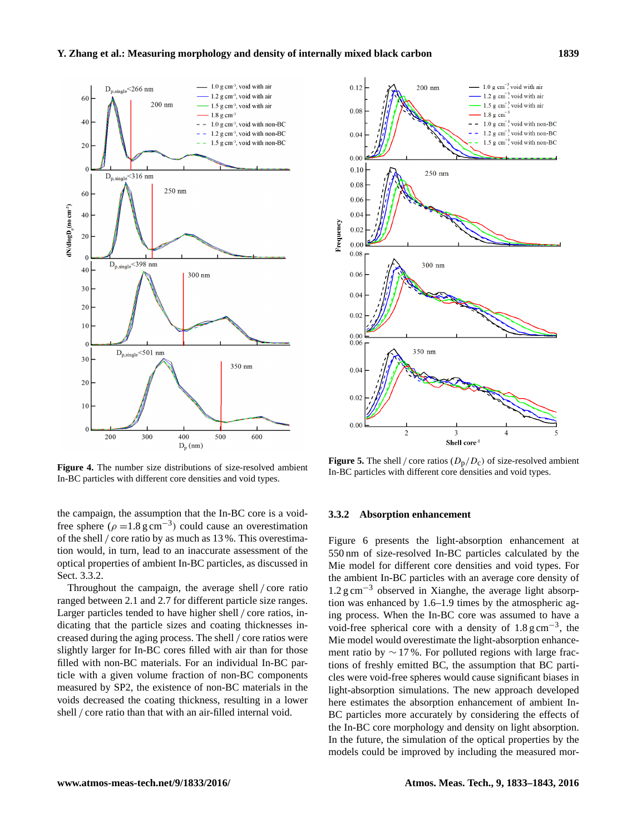

**Figure 4.** The number size distributions of size-resolved ambient In-BC particles with different core densities and void types.

the campaign, the assumption that the In-BC core is a voidfree sphere ( $\rho = 1.8 \text{ g cm}^{-3}$ ) could cause an overestimation of the shell / core ratio by as much as 13 %. This overestimation would, in turn, lead to an inaccurate assessment of the optical properties of ambient In-BC particles, as discussed in Sect. 3.3.2.

Throughout the campaign, the average shell / core ratio ranged between 2.1 and 2.7 for different particle size ranges. Larger particles tended to have higher shell / core ratios, indicating that the particle sizes and coating thicknesses increased during the aging process. The shell / core ratios were slightly larger for In-BC cores filled with air than for those filled with non-BC materials. For an individual In-BC particle with a given volume fraction of non-BC components measured by SP2, the existence of non-BC materials in the voids decreased the coating thickness, resulting in a lower shell / core ratio than that with an air-filled internal void.



**Figure 5.** The shell / core ratios  $(D_p/D_c)$  of size-resolved ambient In-BC particles with different core densities and void types.

## **3.3.2 Absorption enhancement**

Figure 6 presents the light-absorption enhancement at 550 nm of size-resolved In-BC particles calculated by the Mie model for different core densities and void types. For the ambient In-BC particles with an average core density of  $1.2 \text{ g cm}^{-3}$  observed in Xianghe, the average light absorption was enhanced by 1.6–1.9 times by the atmospheric aging process. When the In-BC core was assumed to have a void-free spherical core with a density of 1.8 g cm−<sup>3</sup> , the Mie model would overestimate the light-absorption enhancement ratio by  $\sim$  17%. For polluted regions with large fractions of freshly emitted BC, the assumption that BC particles were void-free spheres would cause significant biases in light-absorption simulations. The new approach developed here estimates the absorption enhancement of ambient In-BC particles more accurately by considering the effects of the In-BC core morphology and density on light absorption. In the future, the simulation of the optical properties by the models could be improved by including the measured mor-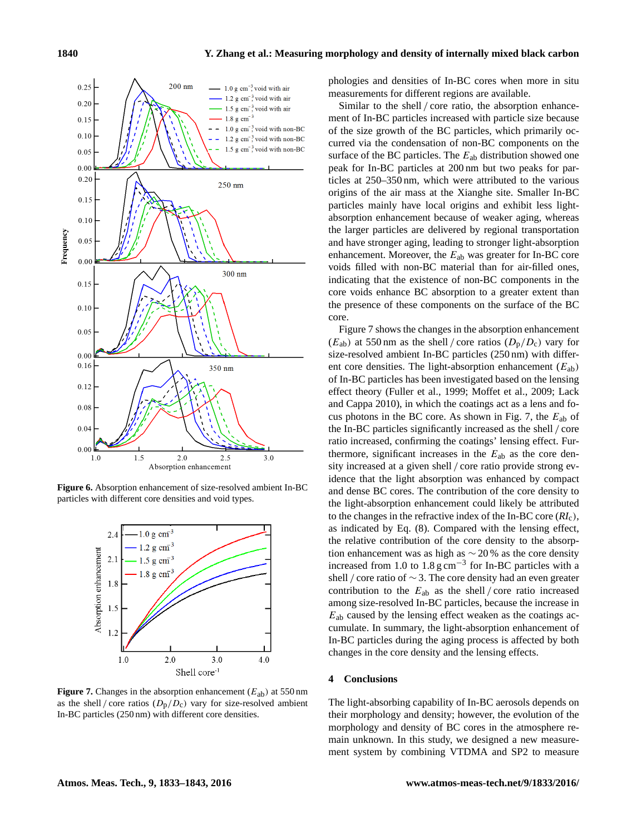

**Figure 6.** Absorption enhancement of size-resolved ambient In-BC particles with different core densities and void types.



**Figure 7.** Changes in the absorption enhancement  $(E_{ab})$  at 550 nm as the shell / core ratios  $(D_p/D_c)$  vary for size-resolved ambient In-BC particles (250 nm) with different core densities.

phologies and densities of In-BC cores when more in situ measurements for different regions are available.

Similar to the shell / core ratio, the absorption enhancement of In-BC particles increased with particle size because of the size growth of the BC particles, which primarily occurred via the condensation of non-BC components on the surface of the BC particles. The  $E_{ab}$  distribution showed one peak for In-BC particles at 200 nm but two peaks for particles at 250–350 nm, which were attributed to the various origins of the air mass at the Xianghe site. Smaller In-BC particles mainly have local origins and exhibit less lightabsorption enhancement because of weaker aging, whereas the larger particles are delivered by regional transportation and have stronger aging, leading to stronger light-absorption enhancement. Moreover, the  $E_{ab}$  was greater for In-BC core voids filled with non-BC material than for air-filled ones, indicating that the existence of non-BC components in the core voids enhance BC absorption to a greater extent than the presence of these components on the surface of the BC core.

Figure 7 shows the changes in the absorption enhancement  $(E_{ab})$  at 550 nm as the shell / core ratios  $(D_{p}/D_{c})$  vary for size-resolved ambient In-BC particles (250 nm) with different core densities. The light-absorption enhancement  $(E_{ab})$ of In-BC particles has been investigated based on the lensing effect theory (Fuller et al., 1999; Moffet et al., 2009; Lack and Cappa 2010), in which the coatings act as a lens and focus photons in the BC core. As shown in Fig. 7, the  $E_{ab}$  of the In-BC particles significantly increased as the shell / core ratio increased, confirming the coatings' lensing effect. Furthermore, significant increases in the  $E_{ab}$  as the core density increased at a given shell / core ratio provide strong evidence that the light absorption was enhanced by compact and dense BC cores. The contribution of the core density to the light-absorption enhancement could likely be attributed to the changes in the refractive index of the In-BC core (*RI*c), as indicated by Eq. (8). Compared with the lensing effect, the relative contribution of the core density to the absorption enhancement was as high as ∼ 20 % as the core density increased from 1.0 to  $1.8 \text{ g cm}^{-3}$  for In-BC particles with a shell / core ratio of ∼ 3. The core density had an even greater contribution to the  $E_{ab}$  as the shell / core ratio increased among size-resolved In-BC particles, because the increase in  $E<sub>ab</sub>$  caused by the lensing effect weaken as the coatings accumulate. In summary, the light-absorption enhancement of In-BC particles during the aging process is affected by both changes in the core density and the lensing effects.

## **4 Conclusions**

The light-absorbing capability of In-BC aerosols depends on their morphology and density; however, the evolution of the morphology and density of BC cores in the atmosphere remain unknown. In this study, we designed a new measurement system by combining VTDMA and SP2 to measure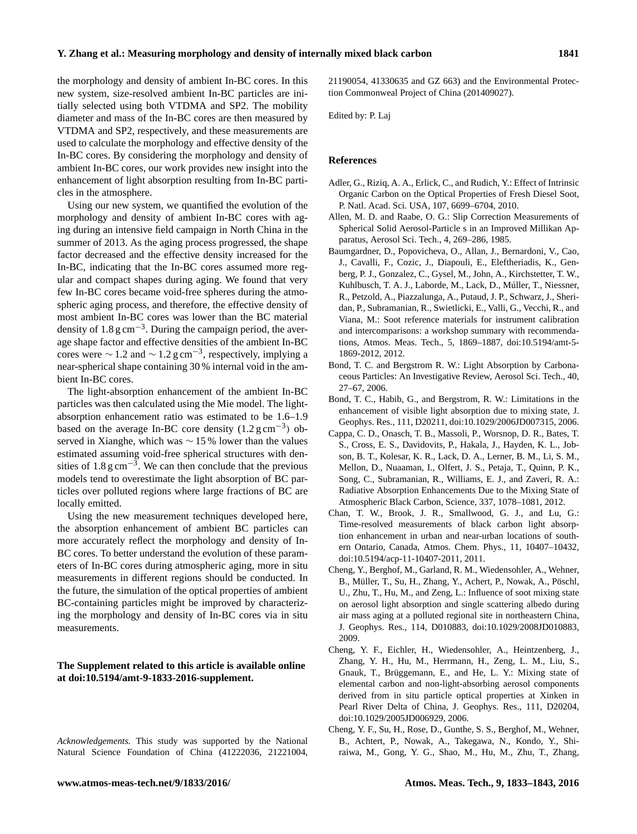the morphology and density of ambient In-BC cores. In this new system, size-resolved ambient In-BC particles are initially selected using both VTDMA and SP2. The mobility diameter and mass of the In-BC cores are then measured by VTDMA and SP2, respectively, and these measurements are used to calculate the morphology and effective density of the In-BC cores. By considering the morphology and density of ambient In-BC cores, our work provides new insight into the enhancement of light absorption resulting from In-BC particles in the atmosphere.

Using our new system, we quantified the evolution of the morphology and density of ambient In-BC cores with aging during an intensive field campaign in North China in the summer of 2013. As the aging process progressed, the shape factor decreased and the effective density increased for the In-BC, indicating that the In-BC cores assumed more regular and compact shapes during aging. We found that very few In-BC cores became void-free spheres during the atmospheric aging process, and therefore, the effective density of most ambient In-BC cores was lower than the BC material density of  $1.8 \text{ g cm}^{-3}$ . During the campaign period, the average shape factor and effective densities of the ambient In-BC cores were  $\sim$  1.2 and  $\sim$  1.2 g cm<sup>-3</sup>, respectively, implying a near-spherical shape containing 30 % internal void in the ambient In-BC cores.

The light-absorption enhancement of the ambient In-BC particles was then calculated using the Mie model. The lightabsorption enhancement ratio was estimated to be 1.6–1.9 based on the average In-BC core density  $(1.2 \text{ g cm}^{-3})$  observed in Xianghe, which was ∼ 15 % lower than the values estimated assuming void-free spherical structures with densities of  $1.8 \text{ g cm}^{-3}$ . We can then conclude that the previous models tend to overestimate the light absorption of BC particles over polluted regions where large fractions of BC are locally emitted.

Using the new measurement techniques developed here, the absorption enhancement of ambient BC particles can more accurately reflect the morphology and density of In-BC cores. To better understand the evolution of these parameters of In-BC cores during atmospheric aging, more in situ measurements in different regions should be conducted. In the future, the simulation of the optical properties of ambient BC-containing particles might be improved by characterizing the morphology and density of In-BC cores via in situ measurements.

# **The Supplement related to this article is available online at [doi:10.5194/amt-9-1833-2016-supplement.](http://dx.doi.org/10.5194/amt-9-1833-2016-supplement)**

*Acknowledgements.* This study was supported by the National Natural Science Foundation of China (41222036, 21221004, 21190054, 41330635 and GZ 663) and the Environmental Protection Commonweal Project of China (201409027).

Edited by: P. Laj

#### **References**

- Adler, G., Riziq, A. A., Erlick, C., and Rudich, Y.: Effect of Intrinsic Organic Carbon on the Optical Properties of Fresh Diesel Soot, P. Natl. Acad. Sci. USA, 107, 6699–6704, 2010.
- Allen, M. D. and Raabe, O. G.: Slip Correction Measurements of Spherical Solid Aerosol-Particle s in an Improved Millikan Apparatus, Aerosol Sci. Tech., 4, 269–286, 1985.
- Baumgardner, D., Popovicheva, O., Allan, J., Bernardoni, V., Cao, J., Cavalli, F., Cozic, J., Diapouli, E., Eleftheriadis, K., Genberg, P. J., Gonzalez, C., Gysel, M., John, A., Kirchstetter, T. W., Kuhlbusch, T. A. J., Laborde, M., Lack, D., Múller, T., Niessner, R., Petzold, A., Piazzalunga, A., Putaud, J. P., Schwarz, J., Sheridan, P., Subramanian, R., Swietlicki, E., Valli, G., Vecchi, R., and Viana, M.: Soot reference materials for instrument calibration and intercomparisons: a workshop summary with recommendations, Atmos. Meas. Tech., 5, 1869–1887, doi[:10.5194/amt-5-](http://dx.doi.org/10.5194/amt-5-1869-2012) [1869-2012,](http://dx.doi.org/10.5194/amt-5-1869-2012) 2012.
- Bond, T. C. and Bergstrom R. W.: Light Absorption by Carbonaceous Particles: An Investigative Review, Aerosol Sci. Tech., 40, 27–67, 2006.
- Bond, T. C., Habib, G., and Bergstrom, R. W.: Limitations in the enhancement of visible light absorption due to mixing state, J. Geophys. Res., 111, D20211, doi[:10.1029/2006JD007315,](http://dx.doi.org/10.1029/2006JD007315) 2006.
- Cappa, C. D., Onasch, T. B., Massoli, P., Worsnop, D. R., Bates, T. S., Cross, E. S., Davidovits, P., Hakala, J., Hayden, K. L., Jobson, B. T., Kolesar, K. R., Lack, D. A., Lerner, B. M., Li, S. M., Mellon, D., Nuaaman, I., Olfert, J. S., Petaja, T., Quinn, P. K., Song, C., Subramanian, R., Williams, E. J., and Zaveri, R. A.: Radiative Absorption Enhancements Due to the Mixing State of Atmospheric Black Carbon, Science, 337, 1078–1081, 2012.
- Chan, T. W., Brook, J. R., Smallwood, G. J., and Lu, G.: Time-resolved measurements of black carbon light absorption enhancement in urban and near-urban locations of southern Ontario, Canada, Atmos. Chem. Phys., 11, 10407–10432, doi[:10.5194/acp-11-10407-2011,](http://dx.doi.org/10.5194/acp-11-10407-2011) 2011.
- Cheng, Y., Berghof, M., Garland, R. M., Wiedensohler, A., Wehner, B., Müller, T., Su, H., Zhang, Y., Achert, P., Nowak, A., Pöschl, U., Zhu, T., Hu, M., and Zeng, L.: Influence of soot mixing state on aerosol light absorption and single scattering albedo during air mass aging at a polluted regional site in northeastern China, J. Geophys. Res., 114, D010883, doi[:10.1029/2008JD010883,](http://dx.doi.org/10.1029/2008JD010883) 2009.
- Cheng, Y. F., Eichler, H., Wiedensohler, A., Heintzenberg, J., Zhang, Y. H., Hu, M., Herrmann, H., Zeng, L. M., Liu, S., Gnauk, T., Brüggemann, E., and He, L. Y.: Mixing state of elemental carbon and non-light-absorbing aerosol components derived from in situ particle optical properties at Xinken in Pearl River Delta of China, J. Geophys. Res., 111, D20204, doi[:10.1029/2005JD006929,](http://dx.doi.org/10.1029/2005JD006929) 2006.
- Cheng, Y. F., Su, H., Rose, D., Gunthe, S. S., Berghof, M., Wehner, B., Achtert, P., Nowak, A., Takegawa, N., Kondo, Y., Shiraiwa, M., Gong, Y. G., Shao, M., Hu, M., Zhu, T., Zhang,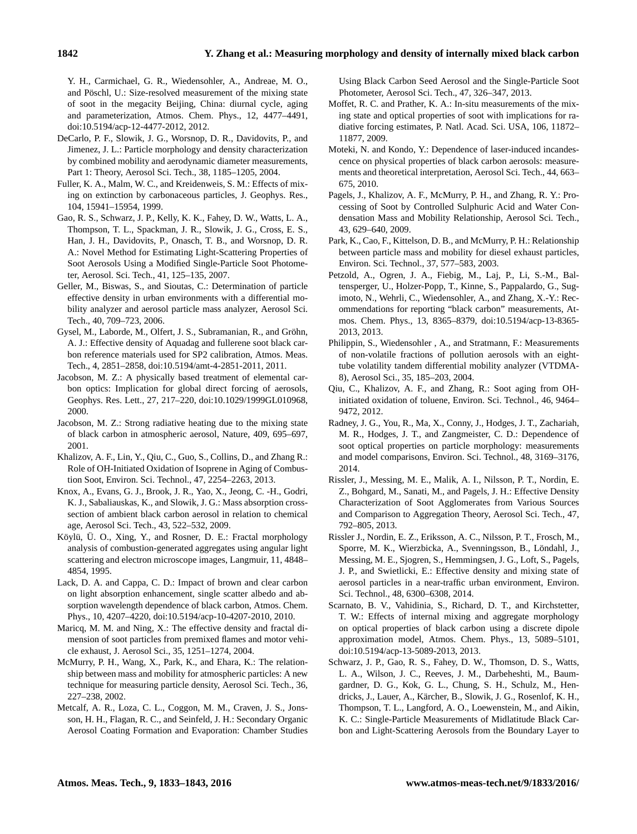Y. H., Carmichael, G. R., Wiedensohler, A., Andreae, M. O., and Pöschl, U.: Size-resolved measurement of the mixing state of soot in the megacity Beijing, China: diurnal cycle, aging and parameterization, Atmos. Chem. Phys., 12, 4477–4491, doi[:10.5194/acp-12-4477-2012,](http://dx.doi.org/10.5194/acp-12-4477-2012) 2012.

- DeCarlo, P. F., Slowik, J. G., Worsnop, D. R., Davidovits, P., and Jimenez, J. L.: Particle morphology and density characterization by combined mobility and aerodynamic diameter measurements, Part 1: Theory, Aerosol Sci. Tech., 38, 1185–1205, 2004.
- Fuller, K. A., Malm, W. C., and Kreidenweis, S. M.: Effects of mixing on extinction by carbonaceous particles, J. Geophys. Res., 104, 15941–15954, 1999.
- Gao, R. S., Schwarz, J. P., Kelly, K. K., Fahey, D. W., Watts, L. A., Thompson, T. L., Spackman, J. R., Slowik, J. G., Cross, E. S., Han, J. H., Davidovits, P., Onasch, T. B., and Worsnop, D. R. A.: Novel Method for Estimating Light-Scattering Properties of Soot Aerosols Using a Modified Single-Particle Soot Photometer, Aerosol. Sci. Tech., 41, 125–135, 2007.
- Geller, M., Biswas, S., and Sioutas, C.: Determination of particle effective density in urban environments with a differential mobility analyzer and aerosol particle mass analyzer, Aerosol Sci. Tech., 40, 709–723, 2006.
- Gysel, M., Laborde, M., Olfert, J. S., Subramanian, R., and Gröhn, A. J.: Effective density of Aquadag and fullerene soot black carbon reference materials used for SP2 calibration, Atmos. Meas. Tech., 4, 2851–2858, doi[:10.5194/amt-4-2851-2011,](http://dx.doi.org/10.5194/amt-4-2851-2011) 2011.
- Jacobson, M. Z.: A physically based treatment of elemental carbon optics: Implication for global direct forcing of aerosols, Geophys. Res. Lett., 27, 217–220, doi[:10.1029/1999GL010968,](http://dx.doi.org/10.1029/1999GL010968) 2000.
- Jacobson, M. Z.: Strong radiative heating due to the mixing state of black carbon in atmospheric aerosol, Nature, 409, 695–697, 2001.
- Khalizov, A. F., Lin, Y., Qiu, C., Guo, S., Collins, D., and Zhang R.: Role of OH-Initiated Oxidation of Isoprene in Aging of Combustion Soot, Environ. Sci. Technol., 47, 2254–2263, 2013.
- Knox, A., Evans, G. J., Brook, J. R., Yao, X., Jeong, C. -H., Godri, K. J., Sabaliauskas, K., and Slowik, J. G.: Mass absorption crosssection of ambient black carbon aerosol in relation to chemical age, Aerosol Sci. Tech., 43, 522–532, 2009.
- Köylü, Ü. O., Xing, Y., and Rosner, D. E.: Fractal morphology analysis of combustion-generated aggregates using angular light scattering and electron microscope images, Langmuir, 11, 4848– 4854, 1995.
- Lack, D. A. and Cappa, C. D.: Impact of brown and clear carbon on light absorption enhancement, single scatter albedo and absorption wavelength dependence of black carbon, Atmos. Chem. Phys., 10, 4207–4220, doi[:10.5194/acp-10-4207-2010,](http://dx.doi.org/10.5194/acp-10-4207-2010) 2010.
- Maricq, M. M. and Ning, X.: The effective density and fractal dimension of soot particles from premixed flames and motor vehicle exhaust, J. Aerosol Sci., 35, 1251–1274, 2004.
- McMurry, P. H., Wang, X., Park, K., and Ehara, K.: The relationship between mass and mobility for atmospheric particles: A new technique for measuring particle density, Aerosol Sci. Tech., 36, 227–238, 2002.
- Metcalf, A. R., Loza, C. L., Coggon, M. M., Craven, J. S., Jonsson, H. H., Flagan, R. C., and Seinfeld, J. H.: Secondary Organic Aerosol Coating Formation and Evaporation: Chamber Studies

Using Black Carbon Seed Aerosol and the Single-Particle Soot Photometer, Aerosol Sci. Tech., 47, 326–347, 2013.

- Moffet, R. C. and Prather, K. A.: In-situ measurements of the mixing state and optical properties of soot with implications for radiative forcing estimates, P. Natl. Acad. Sci. USA, 106, 11872– 11877, 2009.
- Moteki, N. and Kondo, Y.: Dependence of laser-induced incandescence on physical properties of black carbon aerosols: measurements and theoretical interpretation, Aerosol Sci. Tech., 44, 663– 675, 2010.
- Pagels, J., Khalizov, A. F., McMurry, P. H., and Zhang, R. Y.: Processing of Soot by Controlled Sulphuric Acid and Water Condensation Mass and Mobility Relationship, Aerosol Sci. Tech., 43, 629–640, 2009.
- Park, K., Cao, F., Kittelson, D. B., and McMurry, P. H.: Relationship between particle mass and mobility for diesel exhaust particles, Environ. Sci. Technol., 37, 577–583, 2003.
- Petzold, A., Ogren, J. A., Fiebig, M., Laj, P., Li, S.-M., Baltensperger, U., Holzer-Popp, T., Kinne, S., Pappalardo, G., Sugimoto, N., Wehrli, C., Wiedensohler, A., and Zhang, X.-Y.: Recommendations for reporting "black carbon" measurements, Atmos. Chem. Phys., 13, 8365–8379, doi[:10.5194/acp-13-8365-](http://dx.doi.org/10.5194/acp-13-8365-2013) [2013,](http://dx.doi.org/10.5194/acp-13-8365-2013) 2013.
- Philippin, S., Wiedensohler , A., and Stratmann, F.: Measurements of non-volatile fractions of pollution aerosols with an eighttube volatility tandem differential mobility analyzer (VTDMA-8), Aerosol Sci., 35, 185–203, 2004.
- Qiu, C., Khalizov, A. F., and Zhang, R.: Soot aging from OHinitiated oxidation of toluene, Environ. Sci. Technol., 46, 9464– 9472, 2012.
- Radney, J. G., You, R., Ma, X., Conny, J., Hodges, J. T., Zachariah, M. R., Hodges, J. T., and Zangmeister, C. D.: Dependence of soot optical properties on particle morphology: measurements and model comparisons, Environ. Sci. Technol., 48, 3169–3176, 2014.
- Rissler, J., Messing, M. E., Malik, A. I., Nilsson, P. T., Nordin, E. Z., Bohgard, M., Sanati, M., and Pagels, J. H.: Effective Density Characterization of Soot Agglomerates from Various Sources and Comparison to Aggregation Theory, Aerosol Sci. Tech., 47, 792–805, 2013.
- Rissler J., Nordin, E. Z., Eriksson, A. C., Nilsson, P. T., Frosch, M., Sporre, M. K., Wierzbicka, A., Svenningsson, B., Löndahl, J., Messing, M. E., Sjogren, S., Hemmingsen, J. G., Loft, S., Pagels, J. P., and Swietlicki, E.: Effective density and mixing state of aerosol particles in a near-traffic urban environment, Environ. Sci. Technol., 48, 6300–6308, 2014.
- Scarnato, B. V., Vahidinia, S., Richard, D. T., and Kirchstetter, T. W.: Effects of internal mixing and aggregate morphology on optical properties of black carbon using a discrete dipole approximation model, Atmos. Chem. Phys., 13, 5089–5101, doi[:10.5194/acp-13-5089-2013,](http://dx.doi.org/10.5194/acp-13-5089-2013) 2013.
- Schwarz, J. P., Gao, R. S., Fahey, D. W., Thomson, D. S., Watts, L. A., Wilson, J. C., Reeves, J. M., Darbeheshti, M., Baumgardner, D. G., Kok, G. L., Chung, S. H., Schulz, M., Hendricks, J., Lauer, A., Kärcher, B., Slowik, J. G., Rosenlof, K. H., Thompson, T. L., Langford, A. O., Loewenstein, M., and Aikin, K. C.: Single-Particle Measurements of Midlatitude Black Carbon and Light-Scattering Aerosols from the Boundary Layer to